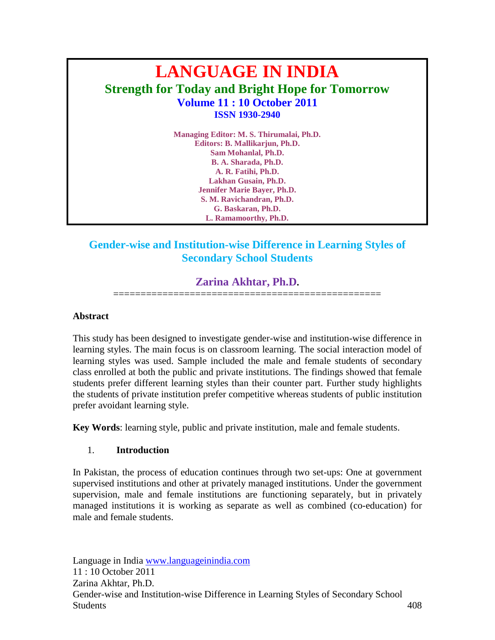# **LANGUAGE IN INDIA Strength for Today and Bright Hope for Tomorrow Volume 11 : 10 October 2011 ISSN 1930-2940**

**Managing Editor: M. S. Thirumalai, Ph.D. Editors: B. Mallikarjun, Ph.D. Sam Mohanlal, Ph.D. B. A. Sharada, Ph.D. A. R. Fatihi, Ph.D. Lakhan Gusain, Ph.D. Jennifer Marie Bayer, Ph.D. S. M. Ravichandran, Ph.D. G. Baskaran, Ph.D. L. Ramamoorthy, Ph.D.**

# **Gender-wise and Institution-wise Difference in Learning Styles of Secondary School Students**

# **Zarina Akhtar, Ph.D.**

=================================================

## **Abstract**

This study has been designed to investigate gender-wise and institution-wise difference in learning styles. The main focus is on classroom learning. The social interaction model of learning styles was used. Sample included the male and female students of secondary class enrolled at both the public and private institutions. The findings showed that female students prefer different learning styles than their counter part. Further study highlights the students of private institution prefer competitive whereas students of public institution prefer avoidant learning style.

**Key Words**: learning style, public and private institution, male and female students.

## 1. **Introduction**

In Pakistan, the process of education continues through two set-ups: One at government supervised institutions and other at privately managed institutions. Under the government supervision, male and female institutions are functioning separately, but in privately managed institutions it is working as separate as well as combined (co-education) for male and female students.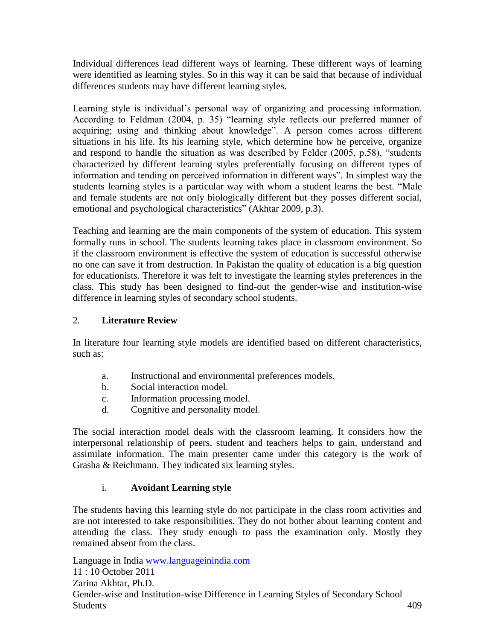Individual differences lead different ways of learning. These different ways of learning were identified as learning styles. So in this way it can be said that because of individual differences students may have different learning styles.

Learning style is individual"s personal way of organizing and processing information. According to Feldman (2004, p. 35) "learning style reflects our preferred manner of acquiring; using and thinking about knowledge". A person comes across different situations in his life. Its his learning style, which determine how he perceive, organize and respond to handle the situation as was described by Felder (2005, p.58), "students characterized by different learning styles preferentially focusing on different types of information and tending on perceived information in different ways". In simplest way the students learning styles is a particular way with whom a student learns the best. "Male and female students are not only biologically different but they posses different social, emotional and psychological characteristics" (Akhtar 2009, p.3).

Teaching and learning are the main components of the system of education. This system formally runs in school. The students learning takes place in classroom environment. So if the classroom environment is effective the system of education is successful otherwise no one can save it from destruction. In Pakistan the quality of education is a big question for educationists. Therefore it was felt to investigate the learning styles preferences in the class. This study has been designed to find-out the gender-wise and institution-wise difference in learning styles of secondary school students.

## 2. **Literature Review**

In literature four learning style models are identified based on different characteristics, such as:

- a. Instructional and environmental preferences models.
- b. Social interaction model.
- c. Information processing model.
- d. Cognitive and personality model.

The social interaction model deals with the classroom learning. It considers how the interpersonal relationship of peers, student and teachers helps to gain, understand and assimilate information. The main presenter came under this category is the work of Grasha & Reichmann. They indicated six learning styles.

## i. **Avoidant Learning style**

The students having this learning style do not participate in the class room activities and are not interested to take responsibilities. They do not bother about learning content and attending the class. They study enough to pass the examination only. Mostly they remained absent from the class.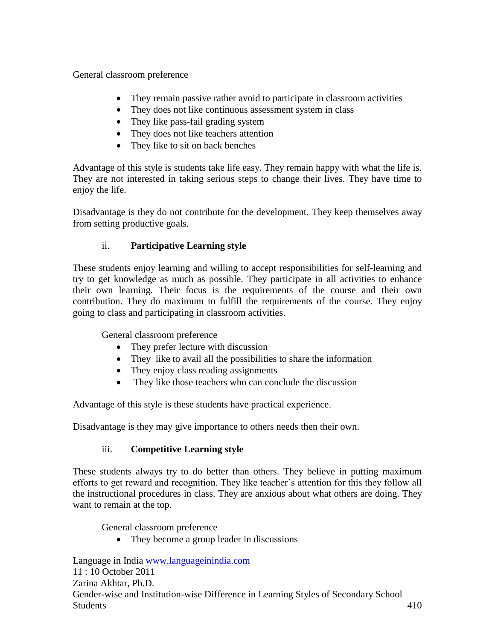General classroom preference

- They remain passive rather avoid to participate in classroom activities
- They does not like continuous assessment system in class
- They like pass-fail grading system
- They does not like teachers attention
- They like to sit on back benches

Advantage of this style is students take life easy. They remain happy with what the life is. They are not interested in taking serious steps to change their lives. They have time to enjoy the life.

Disadvantage is they do not contribute for the development. They keep themselves away from setting productive goals.

# ii. **Participative Learning style**

These students enjoy learning and willing to accept responsibilities for self-learning and try to get knowledge as much as possible. They participate in all activities to enhance their own learning. Their focus is the requirements of the course and their own contribution. They do maximum to fulfill the requirements of the course. They enjoy going to class and participating in classroom activities.

General classroom preference

- They prefer lecture with discussion
- They like to avail all the possibilities to share the information
- They enjoy class reading assignments
- They like those teachers who can conclude the discussion

Advantage of this style is these students have practical experience.

Disadvantage is they may give importance to others needs then their own.

# iii. **Competitive Learning style**

These students always try to do better than others. They believe in putting maximum efforts to get reward and recognition. They like teacher's attention for this they follow all the instructional procedures in class. They are anxious about what others are doing. They want to remain at the top.

General classroom preference

• They become a group leader in discussions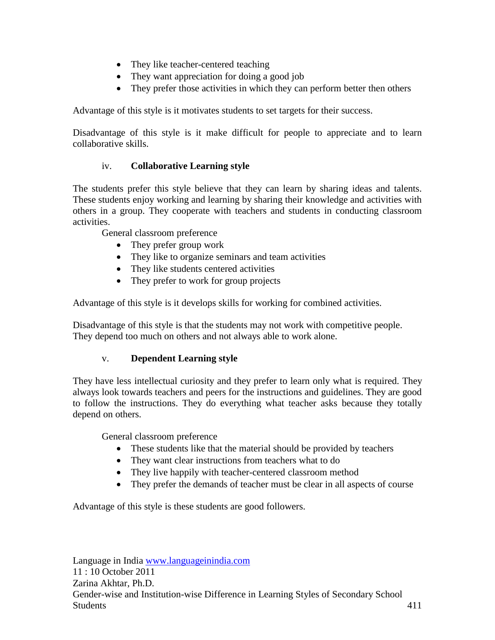- They like teacher-centered teaching
- They want appreciation for doing a good job
- They prefer those activities in which they can perform better then others

Advantage of this style is it motivates students to set targets for their success.

Disadvantage of this style is it make difficult for people to appreciate and to learn collaborative skills.

## iv. **Collaborative Learning style**

The students prefer this style believe that they can learn by sharing ideas and talents. These students enjoy working and learning by sharing their knowledge and activities with others in a group. They cooperate with teachers and students in conducting classroom activities.

General classroom preference

- They prefer group work
- They like to organize seminars and team activities
- They like students centered activities
- They prefer to work for group projects

Advantage of this style is it develops skills for working for combined activities.

Disadvantage of this style is that the students may not work with competitive people. They depend too much on others and not always able to work alone.

## v. **Dependent Learning style**

They have less intellectual curiosity and they prefer to learn only what is required. They always look towards teachers and peers for the instructions and guidelines. They are good to follow the instructions. They do everything what teacher asks because they totally depend on others.

General classroom preference

- These students like that the material should be provided by teachers
- They want clear instructions from teachers what to do
- They live happily with teacher-centered classroom method
- They prefer the demands of teacher must be clear in all aspects of course

Advantage of this style is these students are good followers.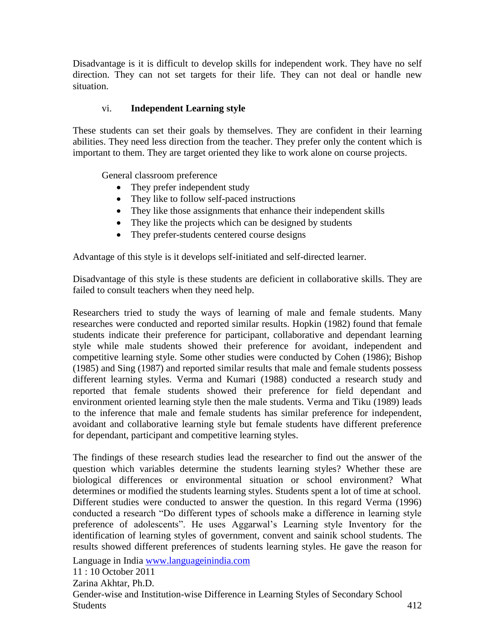Disadvantage is it is difficult to develop skills for independent work. They have no self direction. They can not set targets for their life. They can not deal or handle new situation.

## vi. **Independent Learning style**

These students can set their goals by themselves. They are confident in their learning abilities. They need less direction from the teacher. They prefer only the content which is important to them. They are target oriented they like to work alone on course projects.

General classroom preference

- They prefer independent study
- They like to follow self-paced instructions
- They like those assignments that enhance their independent skills
- They like the projects which can be designed by students
- They prefer-students centered course designs

Advantage of this style is it develops self-initiated and self-directed learner.

Disadvantage of this style is these students are deficient in collaborative skills. They are failed to consult teachers when they need help.

Researchers tried to study the ways of learning of male and female students. Many researches were conducted and reported similar results. Hopkin (1982) found that female students indicate their preference for participant, collaborative and dependant learning style while male students showed their preference for avoidant, independent and competitive learning style. Some other studies were conducted by Cohen (1986); Bishop (1985) and Sing (1987) and reported similar results that male and female students possess different learning styles. Verma and Kumari (1988) conducted a research study and reported that female students showed their preference for field dependant and environment oriented learning style then the male students. Verma and Tiku (1989) leads to the inference that male and female students has similar preference for independent, avoidant and collaborative learning style but female students have different preference for dependant, participant and competitive learning styles.

The findings of these research studies lead the researcher to find out the answer of the question which variables determine the students learning styles? Whether these are biological differences or environmental situation or school environment? What determines or modified the students learning styles. Students spent a lot of time at school. Different studies were conducted to answer the question. In this regard Verma (1996) conducted a research "Do different types of schools make a difference in learning style preference of adolescents". He uses Aggarwal"s Learning style Inventory for the identification of learning styles of government, convent and sainik school students. The results showed different preferences of students learning styles. He gave the reason for

Language in India [www.languageinindia.com](http://www.languageinindia.com/)

11 : 10 October 2011

Zarina Akhtar, Ph.D.

Gender-wise and Institution-wise Difference in Learning Styles of Secondary School Students 412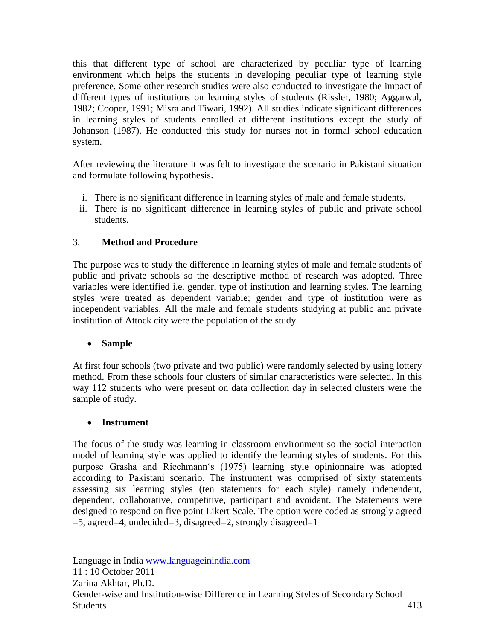this that different type of school are characterized by peculiar type of learning environment which helps the students in developing peculiar type of learning style preference. Some other research studies were also conducted to investigate the impact of different types of institutions on learning styles of students (Rissler, 1980; Aggarwal, 1982; Cooper, 1991; Misra and Tiwari, 1992). All studies indicate significant differences in learning styles of students enrolled at different institutions except the study of Johanson (1987). He conducted this study for nurses not in formal school education system.

After reviewing the literature it was felt to investigate the scenario in Pakistani situation and formulate following hypothesis.

- i. There is no significant difference in learning styles of male and female students.
- ii. There is no significant difference in learning styles of public and private school students.

## 3. **Method and Procedure**

The purpose was to study the difference in learning styles of male and female students of public and private schools so the descriptive method of research was adopted. Three variables were identified i.e. gender, type of institution and learning styles. The learning styles were treated as dependent variable; gender and type of institution were as independent variables. All the male and female students studying at public and private institution of Attock city were the population of the study.

## **Sample**

At first four schools (two private and two public) were randomly selected by using lottery method. From these schools four clusters of similar characteristics were selected. In this way 112 students who were present on data collection day in selected clusters were the sample of study.

## **Instrument**

The focus of the study was learning in classroom environment so the social interaction model of learning style was applied to identify the learning styles of students. For this purpose Grasha and Riechmann"s (1975) learning style opinionnaire was adopted according to Pakistani scenario. The instrument was comprised of sixty statements assessing six learning styles (ten statements for each style) namely independent, dependent, collaborative, competitive, participant and avoidant. The Statements were designed to respond on five point Likert Scale. The option were coded as strongly agreed  $=$ 5, agreed $=$ 4, undecided $=$ 3, disagreed $=$ 2, strongly disagreed $=$ 1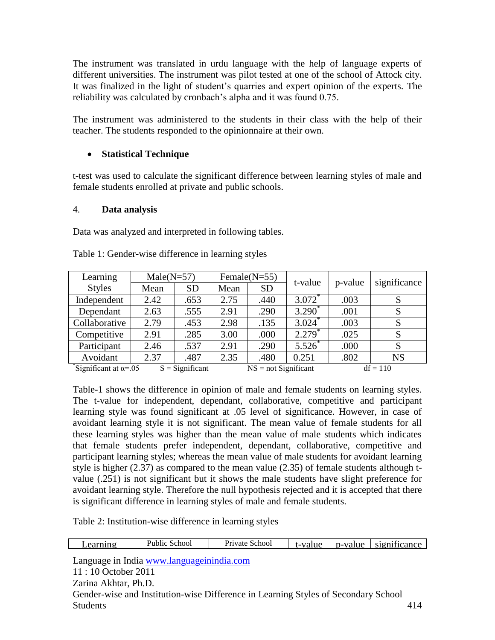The instrument was translated in urdu language with the help of language experts of different universities. The instrument was pilot tested at one of the school of Attock city. It was finalized in the light of student"s quarries and expert opinion of the experts. The reliability was calculated by cronbach's alpha and it was found 0.75.

The instrument was administered to the students in their class with the help of their teacher. The students responded to the opinionnaire at their own.

## **Statistical Technique**

t-test was used to calculate the significant difference between learning styles of male and female students enrolled at private and public schools.

## 4. **Data analysis**

Data was analyzed and interpreted in following tables.

| Learning                                                            | $Male(N=57)$ |           |      | Female $(N=55)$        | t-value   | p-value    |              |
|---------------------------------------------------------------------|--------------|-----------|------|------------------------|-----------|------------|--------------|
| <b>Styles</b>                                                       | Mean         | <b>SD</b> | Mean | <b>SD</b>              |           |            | significance |
| Independent                                                         | 2.42         | .653      | 2.75 | .440                   | $3.072*$  | .003       |              |
| Dependant                                                           | 2.63         | .555      | 2.91 | .290                   | $3.290^*$ | .001       |              |
| Collaborative                                                       | 2.79         | .453      | 2.98 | .135                   | $3.024*$  | .003       |              |
| Competitive                                                         | 2.91         | .285      | 3.00 | .000                   | $2.279*$  | .025       | S            |
| Participant                                                         | 2.46         | .537      | 2.91 | .290                   | $5.526^*$ | .000       | S            |
| Avoidant                                                            | 2.37         | .487      | 2.35 | .480                   | 0.251     | .802       | <b>NS</b>    |
| $\sqrt[3]{\text{Significant at } \alpha}$ =.05<br>$S =$ Significant |              |           |      | $NS = not Significant$ |           | $df = 110$ |              |

Table 1: Gender-wise difference in learning styles

Table-1 shows the difference in opinion of male and female students on learning styles. The t-value for independent, dependant, collaborative, competitive and participant learning style was found significant at .05 level of significance. However, in case of avoidant learning style it is not significant. The mean value of female students for all these learning styles was higher than the mean value of male students which indicates that female students prefer independent, dependant, collaborative, competitive and participant learning styles; whereas the mean value of male students for avoidant learning style is higher (2.37) as compared to the mean value (2.35) of female students although tvalue (.251) is not significant but it shows the male students have slight preference for avoidant learning style. Therefore the null hypothesis rejected and it is accepted that there is significant difference in learning styles of male and female students.

Table 2: Institution-wise difference in learning styles

|  | _earnıng | <b>Public</b><br>School | Private<br>School | value<br>. . | p-value | $\sim$<br>significance |
|--|----------|-------------------------|-------------------|--------------|---------|------------------------|
|--|----------|-------------------------|-------------------|--------------|---------|------------------------|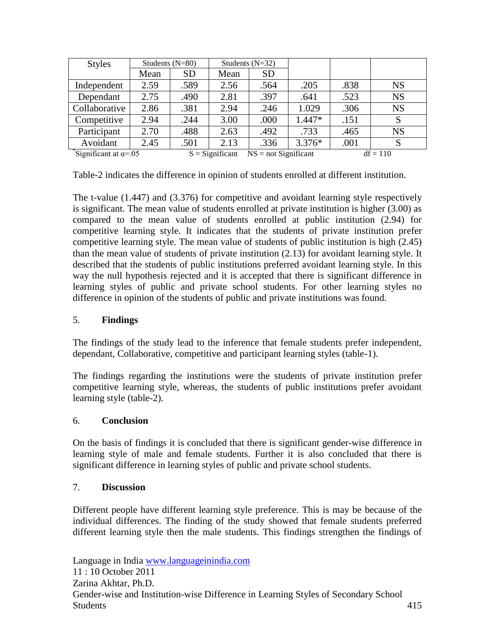| <b>Styles</b>                | Students $(N=80)$ |                   | Students $(N=32)$ |                        |          |            |           |
|------------------------------|-------------------|-------------------|-------------------|------------------------|----------|------------|-----------|
|                              | Mean              | <b>SD</b>         | Mean              | <b>SD</b>              |          |            |           |
| Independent                  | 2.59              | .589              | 2.56              | .564                   | .205     | .838       | <b>NS</b> |
| Dependant                    | 2.75              | .490              | 2.81              | .397                   | .641     | .523       | <b>NS</b> |
| Collaborative                | 2.86              | .381              | 2.94              | .246                   | 1.029    | .306       | <b>NS</b> |
| Competitive                  | 2.94              | .244              | 3.00              | .000                   | $1.447*$ | .151       | S         |
| Participant                  | 2.70              | .488              | 2.63              | .492                   | .733     | .465       | <b>NS</b> |
| Avoidant                     | 2.45              | .501              | 2.13              | .336                   | $3.376*$ | .001       | S         |
| Significant at $\alpha$ =.05 |                   | $S =$ Significant |                   | $NS = not Significant$ |          | $df = 110$ |           |

Table-2 indicates the difference in opinion of students enrolled at different institution.

The t-value (1.447) and (3.376) for competitive and avoidant learning style respectively is significant. The mean value of students enrolled at private institution is higher (3.00) as compared to the mean value of students enrolled at public institution (2.94) for competitive learning style. It indicates that the students of private institution prefer competitive learning style. The mean value of students of public institution is high (2.45) than the mean value of students of private institution (2.13) for avoidant learning style. It described that the students of public institutions preferred avoidant learning style. In this way the null hypothesis rejected and it is accepted that there is significant difference in learning styles of public and private school students. For other learning styles no difference in opinion of the students of public and private institutions was found.

## 5. **Findings**

The findings of the study lead to the inference that female students prefer independent, dependant, Collaborative, competitive and participant learning styles (table-1).

The findings regarding the institutions were the students of private institution prefer competitive learning style, whereas, the students of public institutions prefer avoidant learning style (table-2).

## 6. **Conclusion**

On the basis of findings it is concluded that there is significant gender-wise difference in learning style of male and female students. Further it is also concluded that there is significant difference in learning styles of public and private school students.

## 7. **Discussion**

Different people have different learning style preference. This is may be because of the individual differences. The finding of the study showed that female students preferred different learning style then the male students. This findings strengthen the findings of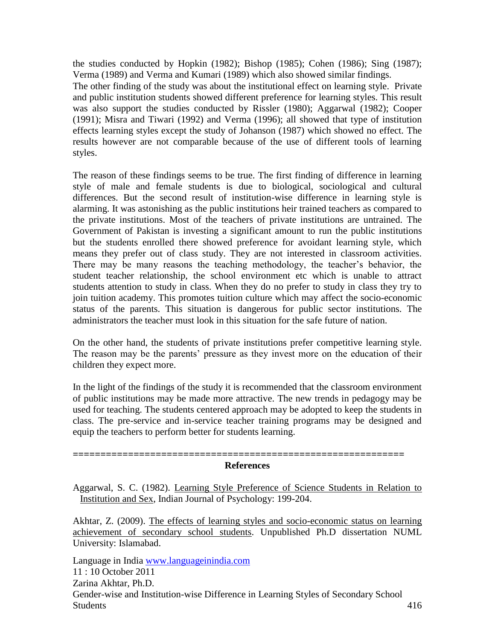the studies conducted by Hopkin (1982); Bishop (1985); Cohen (1986); Sing (1987); Verma (1989) and Verma and Kumari (1989) which also showed similar findings.

The other finding of the study was about the institutional effect on learning style. Private and public institution students showed different preference for learning styles. This result was also support the studies conducted by Rissler (1980); Aggarwal (1982); Cooper (1991); Misra and Tiwari (1992) and Verma (1996); all showed that type of institution effects learning styles except the study of Johanson (1987) which showed no effect. The results however are not comparable because of the use of different tools of learning styles.

The reason of these findings seems to be true. The first finding of difference in learning style of male and female students is due to biological, sociological and cultural differences. But the second result of institution-wise difference in learning style is alarming. It was astonishing as the public institutions heir trained teachers as compared to the private institutions. Most of the teachers of private institutions are untrained. The Government of Pakistan is investing a significant amount to run the public institutions but the students enrolled there showed preference for avoidant learning style, which means they prefer out of class study. They are not interested in classroom activities. There may be many reasons the teaching methodology, the teacher"s behavior, the student teacher relationship, the school environment etc which is unable to attract students attention to study in class. When they do no prefer to study in class they try to join tuition academy. This promotes tuition culture which may affect the socio-economic status of the parents. This situation is dangerous for public sector institutions. The administrators the teacher must look in this situation for the safe future of nation.

On the other hand, the students of private institutions prefer competitive learning style. The reason may be the parents' pressure as they invest more on the education of their children they expect more.

In the light of the findings of the study it is recommended that the classroom environment of public institutions may be made more attractive. The new trends in pedagogy may be used for teaching. The students centered approach may be adopted to keep the students in class. The pre-service and in-service teacher training programs may be designed and equip the teachers to perform better for students learning.

#### **References**

**============================================================**

Aggarwal, S. C. (1982). Learning Style Preference of Science Students in Relation to Institution and Sex, Indian Journal of Psychology: 199-204.

Akhtar, Z. (2009). The effects of learning styles and socio-economic status on learning achievement of secondary school students. Unpublished Ph.D dissertation NUML University: Islamabad.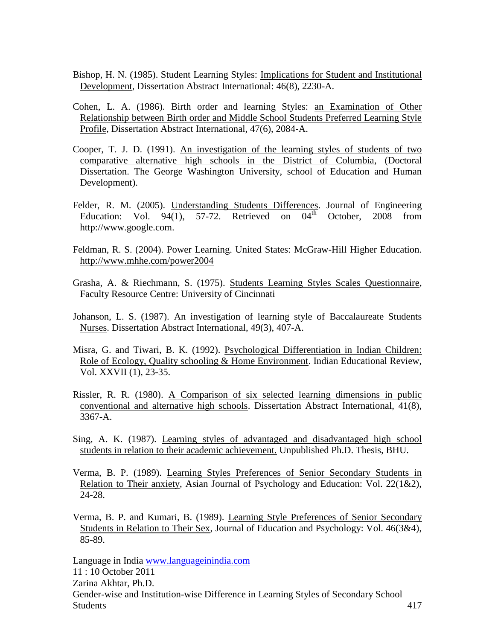- Bishop, H. N. (1985). Student Learning Styles: Implications for Student and Institutional Development, Dissertation Abstract International: 46(8), 2230-A.
- Cohen, L. A. (1986). Birth order and learning Styles: an Examination of Other Relationship between Birth order and Middle School Students Preferred Learning Style Profile, Dissertation Abstract International, 47(6), 2084-A.
- Cooper, T. J. D. (1991). An investigation of the learning styles of students of two comparative alternative high schools in the District of Columbia, (Doctoral Dissertation. The George Washington University, school of Education and Human Development).
- Felder, R. M. (2005). Understanding Students Differences. Journal of Engineering Education: Vol. 94(1), 57-72. Retrieved on  $04<sup>th</sup>$  October, 2008 from http://www.google.com.
- Feldman, R. S. (2004). Power Learning. United States: McGraw-Hill Higher Education. http://www.mhhe.com/power2004
- Grasha, A. & Riechmann, S. (1975). Students Learning Styles Scales Questionnaire, Faculty Resource Centre: University of Cincinnati
- Johanson, L. S. (1987). An investigation of learning style of Baccalaureate Students Nurses. Dissertation Abstract International, 49(3), 407-A.
- Misra, G. and Tiwari, B. K. (1992). Psychological Differentiation in Indian Children: Role of Ecology, Quality schooling & Home Environment. Indian Educational Review, Vol. XXVII (1), 23-35.
- Rissler, R. R. (1980). A Comparison of six selected learning dimensions in public conventional and alternative high schools. Dissertation Abstract International, 41(8), 3367-A.
- Sing, A. K. (1987). Learning styles of advantaged and disadvantaged high school students in relation to their academic achievement. Unpublished Ph.D. Thesis, BHU.
- Verma, B. P. (1989). Learning Styles Preferences of Senior Secondary Students in Relation to Their anxiety, Asian Journal of Psychology and Education: Vol. 22(1&2), 24-28.
- Verma, B. P. and Kumari, B. (1989). Learning Style Preferences of Senior Secondary Students in Relation to Their Sex, Journal of Education and Psychology: Vol. 46(3&4), 85-89.